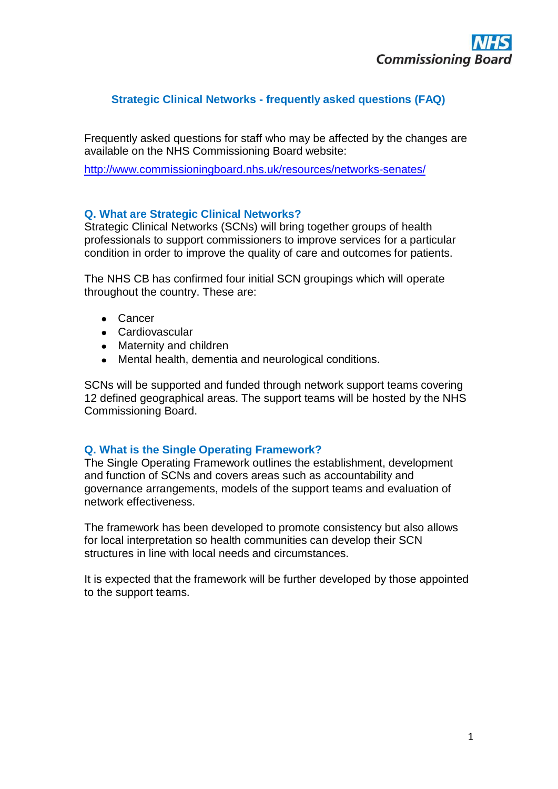# **Strategic Clinical Networks - frequently asked questions (FAQ)**

Frequently asked questions for staff who may be affected by the changes are available on the NHS Commissioning Board website:

<http://www.commissioningboard.nhs.uk/resources/networks-senates/>

## **Q. What are Strategic Clinical Networks?**

Strategic Clinical Networks (SCNs) will bring together groups of health professionals to support commissioners to improve services for a particular condition in order to improve the quality of care and outcomes for patients.

The NHS CB has confirmed four initial SCN groupings which will operate throughout the country. These are:

- Cancer
- Cardiovascular
- Maternity and children
- Mental health, dementia and neurological conditions.

SCNs will be supported and funded through network support teams covering 12 defined geographical areas. The support teams will be hosted by the NHS Commissioning Board.

## **Q. What is the Single Operating Framework?**

The Single Operating Framework outlines the establishment, development and function of SCNs and covers areas such as accountability and governance arrangements, models of the support teams and evaluation of network effectiveness.

The framework has been developed to promote consistency but also allows for local interpretation so health communities can develop their SCN structures in line with local needs and circumstances.

It is expected that the framework will be further developed by those appointed to the support teams.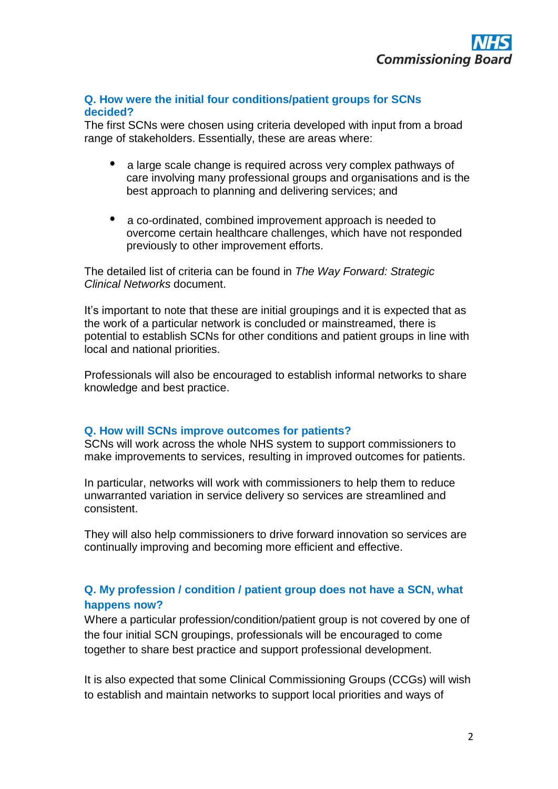#### **Q. How were the initial four conditions/patient groups for SCNs decided?**

The first SCNs were chosen using criteria developed with input from a broad range of stakeholders. Essentially, these are areas where:

- a large scale change is required across very complex pathways of care involving many professional groups and organisations and is the best approach to planning and delivering services; and
- a co-ordinated, combined improvement approach is needed to overcome certain healthcare challenges, which have not responded previously to other improvement efforts.

The detailed list of criteria can be found in *The Way Forward: Strategic Clinical Networks* document.

It's important to note that these are initial groupings and it is expected that as the work of a particular network is concluded or mainstreamed, there is potential to establish SCNs for other conditions and patient groups in line with local and national priorities.

Professionals will also be encouraged to establish informal networks to share knowledge and best practice.

#### **Q. How will SCNs improve outcomes for patients?**

SCNs will work across the whole NHS system to support commissioners to make improvements to services, resulting in improved outcomes for patients.

In particular, networks will work with commissioners to help them to reduce unwarranted variation in service delivery so services are streamlined and consistent.

They will also help commissioners to drive forward innovation so services are continually improving and becoming more efficient and effective.

# **Q. My profession / condition / patient group does not have a SCN, what happens now?**

Where a particular profession/condition/patient group is not covered by one of the four initial SCN groupings, professionals will be encouraged to come together to share best practice and support professional development.

It is also expected that some Clinical Commissioning Groups (CCGs) will wish to establish and maintain networks to support local priorities and ways of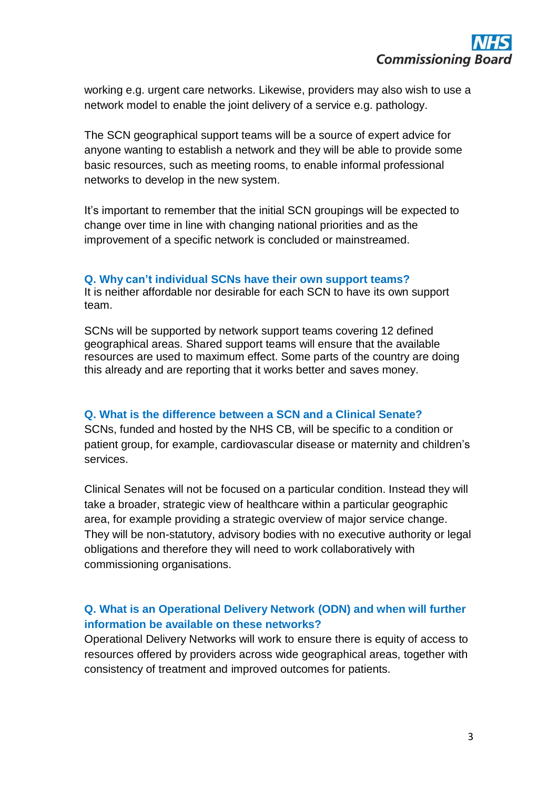working e.g. urgent care networks. Likewise, providers may also wish to use a network model to enable the joint delivery of a service e.g. pathology.

The SCN geographical support teams will be a source of expert advice for anyone wanting to establish a network and they will be able to provide some basic resources, such as meeting rooms, to enable informal professional networks to develop in the new system.

It's important to remember that the initial SCN groupings will be expected to change over time in line with changing national priorities and as the improvement of a specific network is concluded or mainstreamed.

# **Q. Why can't individual SCNs have their own support teams?**

It is neither affordable nor desirable for each SCN to have its own support team.

SCNs will be supported by network support teams covering 12 defined geographical areas. Shared support teams will ensure that the available resources are used to maximum effect. Some parts of the country are doing this already and are reporting that it works better and saves money.

#### **Q. What is the difference between a SCN and a Clinical Senate?**

SCNs, funded and hosted by the NHS CB, will be specific to a condition or patient group, for example, cardiovascular disease or maternity and children's services.

Clinical Senates will not be focused on a particular condition. Instead they will take a broader, strategic view of healthcare within a particular geographic area, for example providing a strategic overview of major service change. They will be non-statutory, advisory bodies with no executive authority or legal obligations and therefore they will need to work collaboratively with commissioning organisations.

# **Q. What is an Operational Delivery Network (ODN) and when will further information be available on these networks?**

Operational Delivery Networks will work to ensure there is equity of access to resources offered by providers across wide geographical areas, together with consistency of treatment and improved outcomes for patients.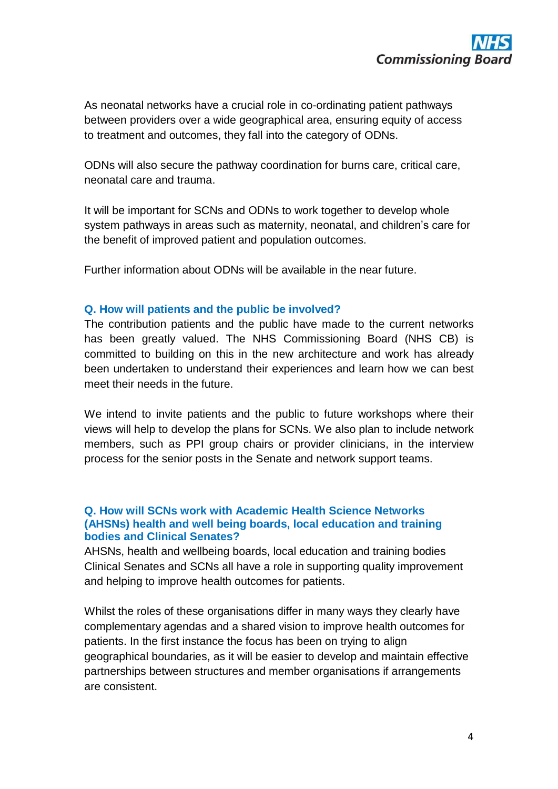As neonatal networks have a crucial role in co-ordinating patient pathways between providers over a wide geographical area, ensuring equity of access to treatment and outcomes, they fall into the category of ODNs.

ODNs will also secure the pathway coordination for burns care, critical care, neonatal care and trauma.

It will be important for SCNs and ODNs to work together to develop whole system pathways in areas such as maternity, neonatal, and children's care for the benefit of improved patient and population outcomes.

Further information about ODNs will be available in the near future.

### **Q. How will patients and the public be involved?**

The contribution patients and the public have made to the current networks has been greatly valued. The NHS Commissioning Board (NHS CB) is committed to building on this in the new architecture and work has already been undertaken to understand their experiences and learn how we can best meet their needs in the future.

We intend to invite patients and the public to future workshops where their views will help to develop the plans for SCNs. We also plan to include network members, such as PPI group chairs or provider clinicians, in the interview process for the senior posts in the Senate and network support teams.

### **Q. How will SCNs work with Academic Health Science Networks (AHSNs) health and well being boards, local education and training bodies and Clinical Senates?**

AHSNs, health and wellbeing boards, local education and training bodies Clinical Senates and SCNs all have a role in supporting quality improvement and helping to improve health outcomes for patients.

Whilst the roles of these organisations differ in many ways they clearly have complementary agendas and a shared vision to improve health outcomes for patients. In the first instance the focus has been on trying to align geographical boundaries, as it will be easier to develop and maintain effective partnerships between structures and member organisations if arrangements are consistent.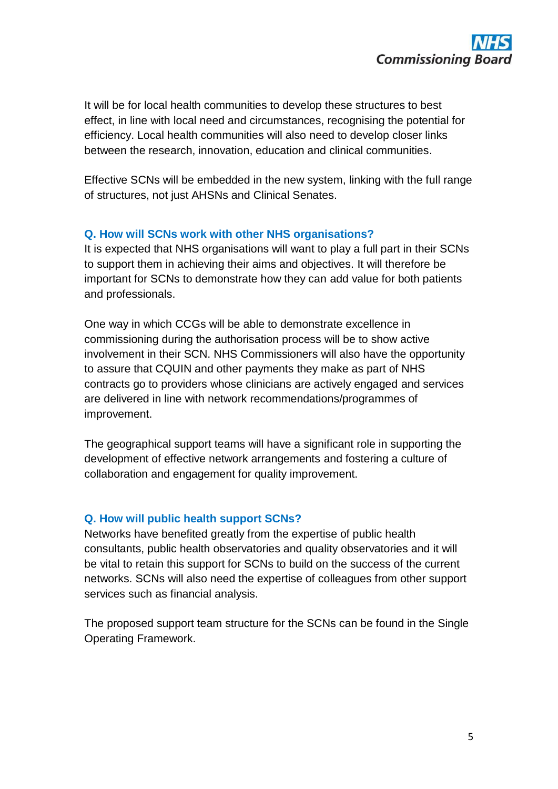

It will be for local health communities to develop these structures to best effect, in line with local need and circumstances, recognising the potential for efficiency. Local health communities will also need to develop closer links between the research, innovation, education and clinical communities.

Effective SCNs will be embedded in the new system, linking with the full range of structures, not just AHSNs and Clinical Senates.

## **Q. How will SCNs work with other NHS organisations?**

It is expected that NHS organisations will want to play a full part in their SCNs to support them in achieving their aims and objectives. It will therefore be important for SCNs to demonstrate how they can add value for both patients and professionals.

One way in which CCGs will be able to demonstrate excellence in commissioning during the authorisation process will be to show active involvement in their SCN. NHS Commissioners will also have the opportunity to assure that CQUIN and other payments they make as part of NHS contracts go to providers whose clinicians are actively engaged and services are delivered in line with network recommendations/programmes of improvement.

The geographical support teams will have a significant role in supporting the development of effective network arrangements and fostering a culture of collaboration and engagement for quality improvement.

## **Q. How will public health support SCNs?**

Networks have benefited greatly from the expertise of public health consultants, public health observatories and quality observatories and it will be vital to retain this support for SCNs to build on the success of the current networks. SCNs will also need the expertise of colleagues from other support services such as financial analysis.

The proposed support team structure for the SCNs can be found in the Single Operating Framework.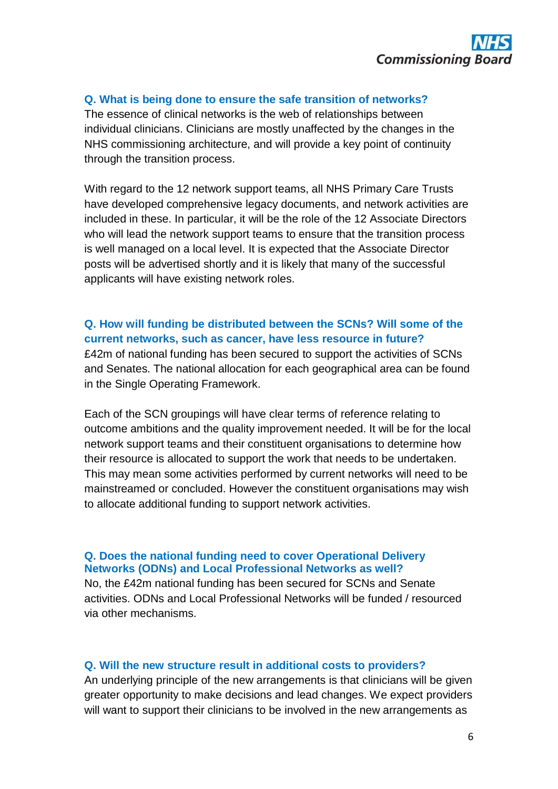

#### **Q. What is being done to ensure the safe transition of networks?**

The essence of clinical networks is the web of relationships between individual clinicians. Clinicians are mostly unaffected by the changes in the NHS commissioning architecture, and will provide a key point of continuity through the transition process.

With regard to the 12 network support teams, all NHS Primary Care Trusts have developed comprehensive legacy documents, and network activities are included in these. In particular, it will be the role of the 12 Associate Directors who will lead the network support teams to ensure that the transition process is well managed on a local level. It is expected that the Associate Director posts will be advertised shortly and it is likely that many of the successful applicants will have existing network roles.

# **Q. How will funding be distributed between the SCNs? Will some of the current networks, such as cancer, have less resource in future?**

£42m of national funding has been secured to support the activities of SCNs and Senates. The national allocation for each geographical area can be found in the Single Operating Framework.

Each of the SCN groupings will have clear terms of reference relating to outcome ambitions and the quality improvement needed. It will be for the local network support teams and their constituent organisations to determine how their resource is allocated to support the work that needs to be undertaken. This may mean some activities performed by current networks will need to be mainstreamed or concluded. However the constituent organisations may wish to allocate additional funding to support network activities.

### **Q. Does the national funding need to cover Operational Delivery Networks (ODNs) and Local Professional Networks as well?**

No, the £42m national funding has been secured for SCNs and Senate activities. ODNs and Local Professional Networks will be funded / resourced via other mechanisms.

#### **Q. Will the new structure result in additional costs to providers?**

An underlying principle of the new arrangements is that clinicians will be given greater opportunity to make decisions and lead changes. We expect providers will want to support their clinicians to be involved in the new arrangements as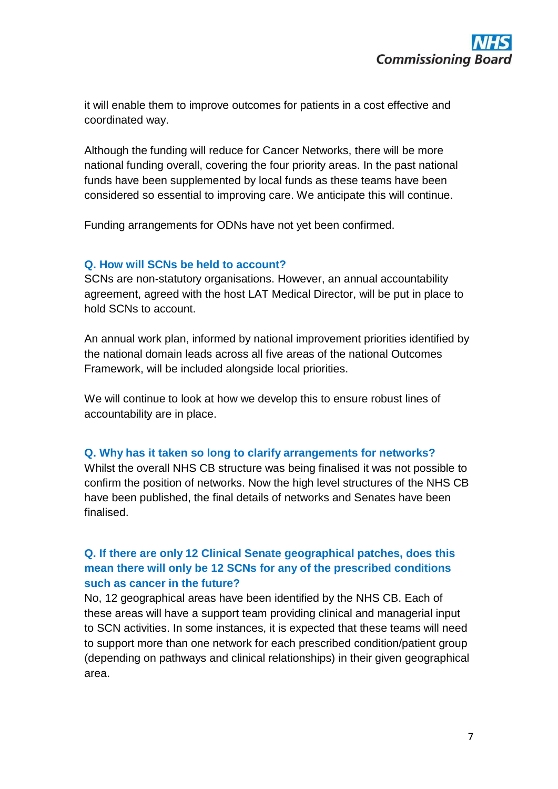it will enable them to improve outcomes for patients in a cost effective and coordinated way.

Although the funding will reduce for Cancer Networks, there will be more national funding overall, covering the four priority areas. In the past national funds have been supplemented by local funds as these teams have been considered so essential to improving care. We anticipate this will continue.

Funding arrangements for ODNs have not yet been confirmed.

## **Q. How will SCNs be held to account?**

SCNs are non-statutory organisations. However, an annual accountability agreement, agreed with the host LAT Medical Director, will be put in place to hold SCNs to account.

An annual work plan, informed by national improvement priorities identified by the national domain leads across all five areas of the national Outcomes Framework, will be included alongside local priorities.

We will continue to look at how we develop this to ensure robust lines of accountability are in place.

## **Q. Why has it taken so long to clarify arrangements for networks?**

Whilst the overall NHS CB structure was being finalised it was not possible to confirm the position of networks. Now the high level structures of the NHS CB have been published, the final details of networks and Senates have been finalised.

# **Q. If there are only 12 Clinical Senate geographical patches, does this mean there will only be 12 SCNs for any of the prescribed conditions such as cancer in the future?**

No, 12 geographical areas have been identified by the NHS CB. Each of these areas will have a support team providing clinical and managerial input to SCN activities. In some instances, it is expected that these teams will need to support more than one network for each prescribed condition/patient group (depending on pathways and clinical relationships) in their given geographical area.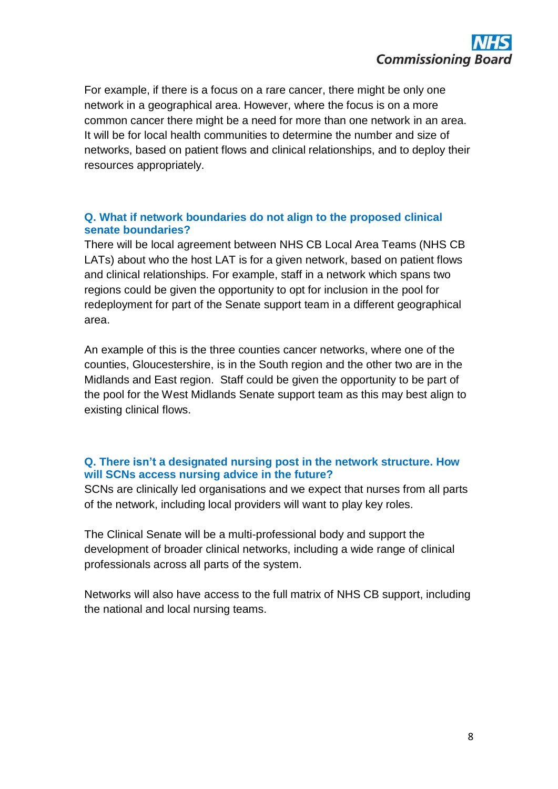For example, if there is a focus on a rare cancer, there might be only one network in a geographical area. However, where the focus is on a more common cancer there might be a need for more than one network in an area. It will be for local health communities to determine the number and size of networks, based on patient flows and clinical relationships, and to deploy their resources appropriately.

# **Q. What if network boundaries do not align to the proposed clinical senate boundaries?**

There will be local agreement between NHS CB Local Area Teams (NHS CB LATs) about who the host LAT is for a given network, based on patient flows and clinical relationships. For example, staff in a network which spans two regions could be given the opportunity to opt for inclusion in the pool for redeployment for part of the Senate support team in a different geographical area.

An example of this is the three counties cancer networks, where one of the counties, Gloucestershire, is in the South region and the other two are in the Midlands and East region. Staff could be given the opportunity to be part of the pool for the West Midlands Senate support team as this may best align to existing clinical flows.

# **Q. There isn't a designated nursing post in the network structure. How will SCNs access nursing advice in the future?**

SCNs are clinically led organisations and we expect that nurses from all parts of the network, including local providers will want to play key roles.

The Clinical Senate will be a multi-professional body and support the development of broader clinical networks, including a wide range of clinical professionals across all parts of the system.

Networks will also have access to the full matrix of NHS CB support, including the national and local nursing teams.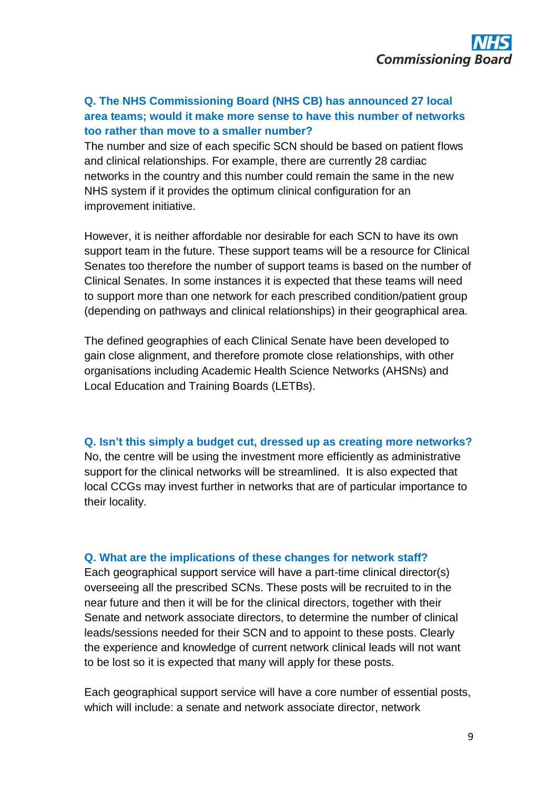# **Q. The NHS Commissioning Board (NHS CB) has announced 27 local area teams; would it make more sense to have this number of networks too rather than move to a smaller number?**

The number and size of each specific SCN should be based on patient flows and clinical relationships. For example, there are currently 28 cardiac networks in the country and this number could remain the same in the new NHS system if it provides the optimum clinical configuration for an improvement initiative.

However, it is neither affordable nor desirable for each SCN to have its own support team in the future. These support teams will be a resource for Clinical Senates too therefore the number of support teams is based on the number of Clinical Senates. In some instances it is expected that these teams will need to support more than one network for each prescribed condition/patient group (depending on pathways and clinical relationships) in their geographical area.

The defined geographies of each Clinical Senate have been developed to gain close alignment, and therefore promote close relationships, with other organisations including Academic Health Science Networks (AHSNs) and Local Education and Training Boards (LETBs).

#### **Q. Isn't this simply a budget cut, dressed up as creating more networks?**

No, the centre will be using the investment more efficiently as administrative support for the clinical networks will be streamlined. It is also expected that local CCGs may invest further in networks that are of particular importance to their locality.

## **Q. What are the implications of these changes for network staff?**

Each geographical support service will have a part-time clinical director(s) overseeing all the prescribed SCNs. These posts will be recruited to in the near future and then it will be for the clinical directors, together with their Senate and network associate directors, to determine the number of clinical leads/sessions needed for their SCN and to appoint to these posts. Clearly the experience and knowledge of current network clinical leads will not want to be lost so it is expected that many will apply for these posts.

Each geographical support service will have a core number of essential posts, which will include: a senate and network associate director, network